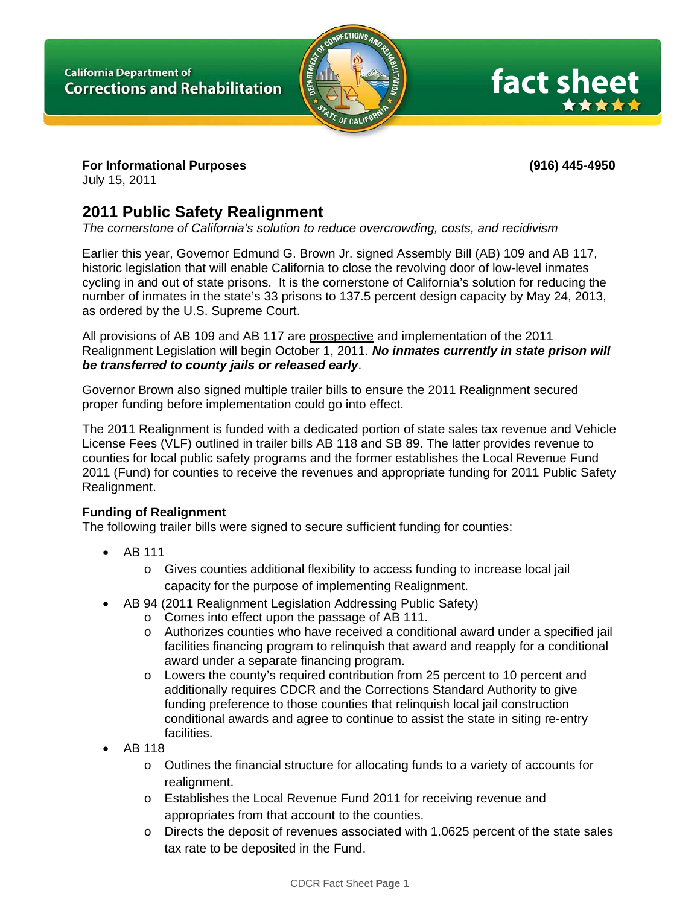



**For Informational Purposes (916) 445-4950** 

July 15, 2011

# **2011 Public Safety Realignment**

*The cornerstone of California's solution to reduce overcrowding, costs, and recidivism* 

Earlier this year, Governor Edmund G. Brown Jr. signed Assembly Bill (AB) 109 and AB 117, historic legislation that will enable California to close the revolving door of low-level inmates cycling in and out of state prisons. It is the cornerstone of California's solution for reducing the number of inmates in the state's 33 prisons to 137.5 percent design capacity by May 24, 2013, as ordered by the U.S. Supreme Court.

All provisions of AB 109 and AB 117 are prospective and implementation of the 2011 Realignment Legislation will begin October 1, 2011. *No inmates currently in state prison will be transferred to county jails or released early*.

Governor Brown also signed multiple trailer bills to ensure the 2011 Realignment secured proper funding before implementation could go into effect.

The 2011 Realignment is funded with a dedicated portion of state sales tax revenue and Vehicle License Fees (VLF) outlined in trailer bills AB 118 and SB 89. The latter provides revenue to counties for local public safety programs and the former establishes the Local Revenue Fund 2011 (Fund) for counties to receive the revenues and appropriate funding for 2011 Public Safety Realignment.

# **Funding of Realignment**

The following trailer bills were signed to secure sufficient funding for counties:

- AB 111
	- o Gives counties additional flexibility to access funding to increase local jail capacity for the purpose of implementing Realignment.
- AB 94 (2011 Realignment Legislation Addressing Public Safety)
	- o Comes into effect upon the passage of AB 111.
	- o Authorizes counties who have received a conditional award under a specified jail facilities financing program to relinquish that award and reapply for a conditional award under a separate financing program.
	- o Lowers the county's required contribution from 25 percent to 10 percent and additionally requires CDCR and the Corrections Standard Authority to give funding preference to those counties that relinquish local jail construction conditional awards and agree to continue to assist the state in siting re-entry facilities.
- AB 118
	- $\circ$  Outlines the financial structure for allocating funds to a variety of accounts for realignment.
	- o Establishes the Local Revenue Fund 2011 for receiving revenue and appropriates from that account to the counties.
	- o Directs the deposit of revenues associated with 1.0625 percent of the state sales tax rate to be deposited in the Fund.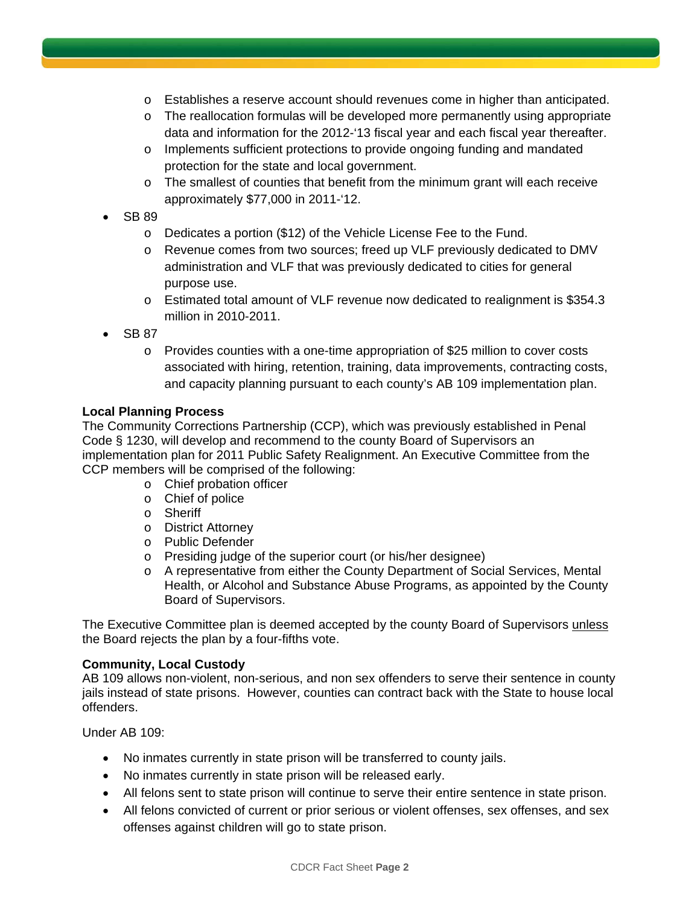- o Establishes a reserve account should revenues come in higher than anticipated.
- $\circ$  The reallocation formulas will be developed more permanently using appropriate data and information for the 2012-'13 fiscal year and each fiscal year thereafter.
- $\circ$  Implements sufficient protections to provide ongoing funding and mandated protection for the state and local government.
- o The smallest of counties that benefit from the minimum grant will each receive approximately \$77,000 in 2011-'12.
- SB 89
	- o Dedicates a portion (\$12) of the Vehicle License Fee to the Fund.
	- o Revenue comes from two sources; freed up VLF previously dedicated to DMV administration and VLF that was previously dedicated to cities for general purpose use.
	- o Estimated total amount of VLF revenue now dedicated to realignment is \$354.3 million in 2010-2011.
- SB 87
	- o Provides counties with a one-time appropriation of \$25 million to cover costs associated with hiring, retention, training, data improvements, contracting costs, and capacity planning pursuant to each county's AB 109 implementation plan.

## **Local Planning Process**

The Community Corrections Partnership (CCP), which was previously established in Penal Code § 1230, will develop and recommend to the county Board of Supervisors an implementation plan for 2011 Public Safety Realignment. An Executive Committee from the CCP members will be comprised of the following:

- o Chief probation officer
- o Chief of police
- o Sheriff
- o District Attorney
- o Public Defender
- o Presiding judge of the superior court (or his/her designee)
- o A representative from either the County Department of Social Services, Mental Health, or Alcohol and Substance Abuse Programs, as appointed by the County Board of Supervisors.

The Executive Committee plan is deemed accepted by the county Board of Supervisors unless the Board rejects the plan by a four-fifths vote.

## **Community, Local Custody**

AB 109 allows non-violent, non-serious, and non sex offenders to serve their sentence in county jails instead of state prisons. However, counties can contract back with the State to house local offenders.

Under AB 109:

- No inmates currently in state prison will be transferred to county jails.
- No inmates currently in state prison will be released early.
- All felons sent to state prison will continue to serve their entire sentence in state prison.
- All felons convicted of current or prior serious or violent offenses, sex offenses, and sex offenses against children will go to state prison.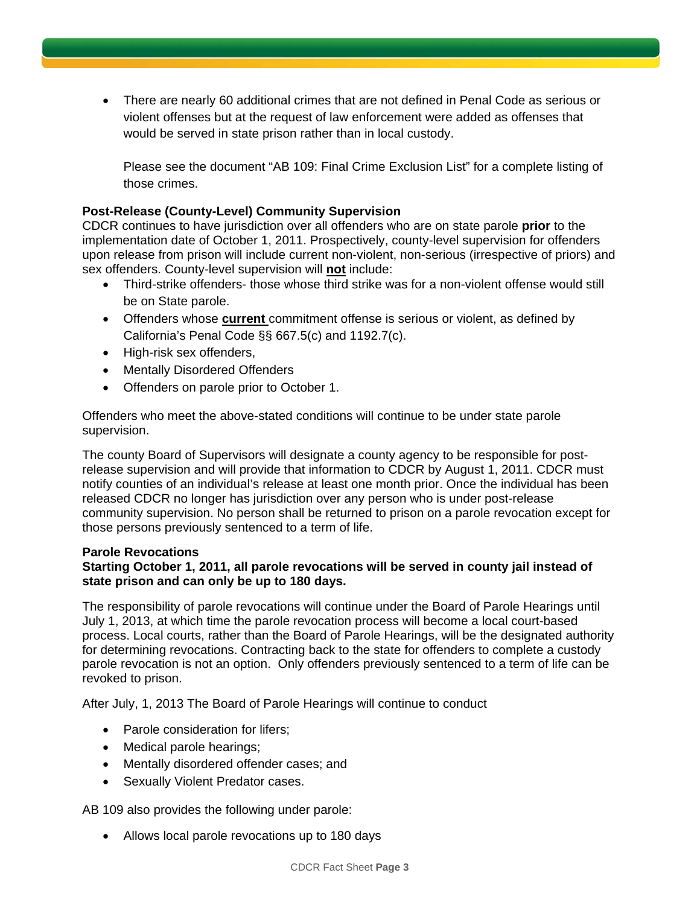• There are nearly 60 additional crimes that are not defined in Penal Code as serious or violent offenses but at the request of law enforcement were added as offenses that would be served in state prison rather than in local custody.

Please see the document "AB 109: Final Crime Exclusion List" for a complete listing of those crimes.

# **Post-Release (County-Level) Community Supervision**

CDCR continues to have jurisdiction over all offenders who are on state parole **prior** to the implementation date of October 1, 2011. Prospectively, county-level supervision for offenders upon release from prison will include current non-violent, non-serious (irrespective of priors) and sex offenders. County-level supervision will **not** include:

- Third-strike offenders- those whose third strike was for a non-violent offense would still be on State parole.
- Offenders whose **current** commitment offense is serious or violent, as defined by California's Penal Code §§ 667.5(c) and 1192.7(c).
- High-risk sex offenders,
- Mentally Disordered Offenders
- Offenders on parole prior to October 1.

Offenders who meet the above-stated conditions will continue to be under state parole supervision.

The county Board of Supervisors will designate a county agency to be responsible for postrelease supervision and will provide that information to CDCR by August 1, 2011. CDCR must notify counties of an individual's release at least one month prior. Once the individual has been released CDCR no longer has jurisdiction over any person who is under post-release community supervision. No person shall be returned to prison on a parole revocation except for those persons previously sentenced to a term of life.

#### **Parole Revocations**

## **Starting October 1, 2011, all parole revocations will be served in county jail instead of state prison and can only be up to 180 days.**

The responsibility of parole revocations will continue under the Board of Parole Hearings until July 1, 2013, at which time the parole revocation process will become a local court-based process. Local courts, rather than the Board of Parole Hearings, will be the designated authority for determining revocations. Contracting back to the state for offenders to complete a custody parole revocation is not an option. Only offenders previously sentenced to a term of life can be revoked to prison.

After July, 1, 2013 The Board of Parole Hearings will continue to conduct

- Parole consideration for lifers;
- Medical parole hearings;
- Mentally disordered offender cases; and
- Sexually Violent Predator cases.

AB 109 also provides the following under parole:

• Allows local parole revocations up to 180 days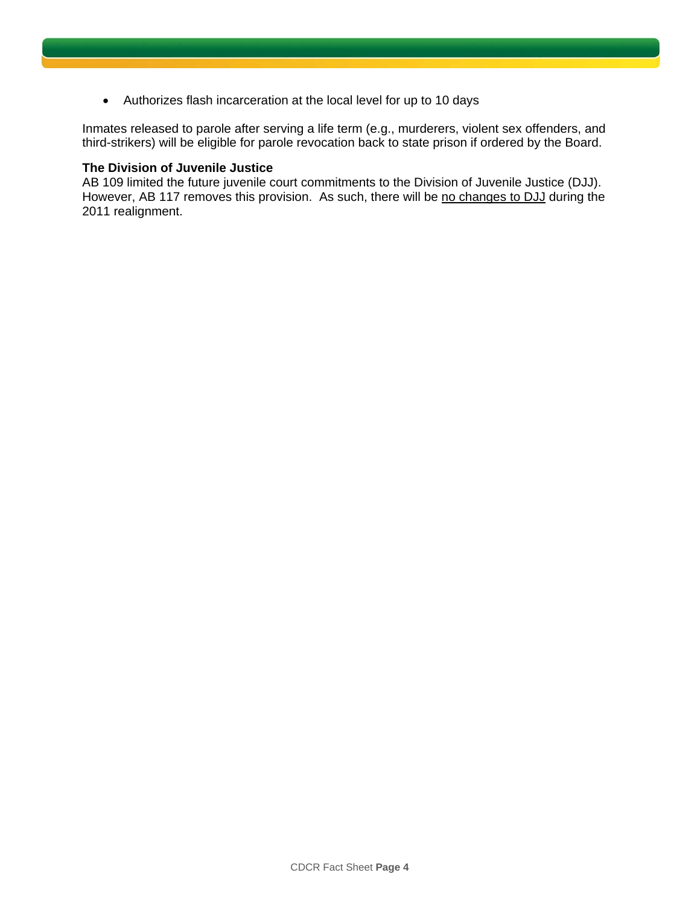• Authorizes flash incarceration at the local level for up to 10 days

Inmates released to parole after serving a life term (e.g., murderers, violent sex offenders, and third-strikers) will be eligible for parole revocation back to state prison if ordered by the Board.

#### **The Division of Juvenile Justice**

AB 109 limited the future juvenile court commitments to the Division of Juvenile Justice (DJJ). However, AB 117 removes this provision. As such, there will be no changes to DJJ during the 2011 realignment.